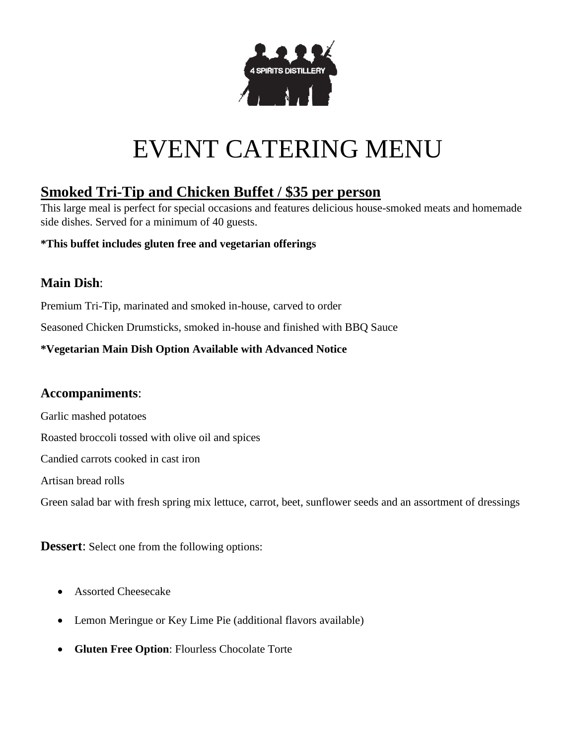

# EVENT CATERING MENU

# **Smoked Tri-Tip and Chicken Buffet / \$35 per person**

This large meal is perfect for special occasions and features delicious house-smoked meats and homemade side dishes. Served for a minimum of 40 guests.

#### **\*This buffet includes gluten free and vegetarian offerings**

## **Main Dish**:

Premium Tri-Tip, marinated and smoked in-house, carved to order

Seasoned Chicken Drumsticks, smoked in-house and finished with BBQ Sauce

#### **\*Vegetarian Main Dish Option Available with Advanced Notice**

### **Accompaniments**:

Garlic mashed potatoes

Roasted broccoli tossed with olive oil and spices

Candied carrots cooked in cast iron

Artisan bread rolls

Green salad bar with fresh spring mix lettuce, carrot, beet, sunflower seeds and an assortment of dressings

**Dessert:** Select one from the following options:

- Assorted Cheesecake
- Lemon Meringue or Key Lime Pie (additional flavors available)
- **Gluten Free Option**: Flourless Chocolate Torte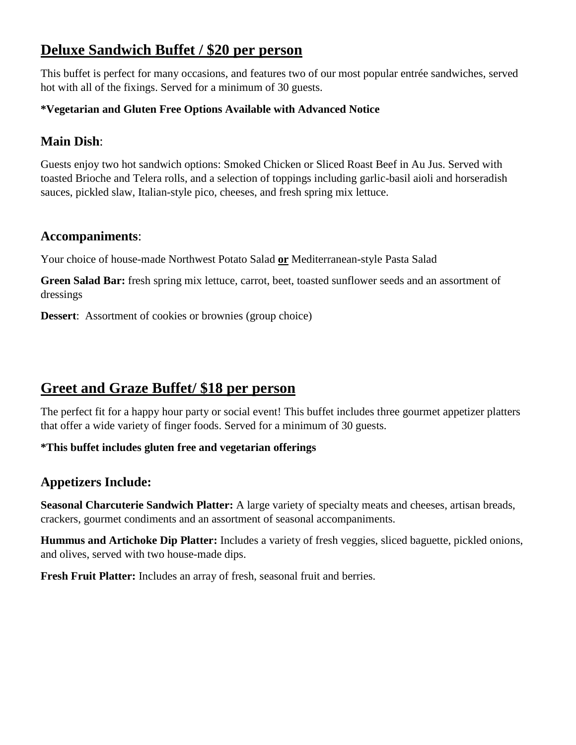# **Deluxe Sandwich Buffet / \$20 per person**

This buffet is perfect for many occasions, and features two of our most popular entrée sandwiches, served hot with all of the fixings. Served for a minimum of 30 guests.

#### **\*Vegetarian and Gluten Free Options Available with Advanced Notice**

## **Main Dish**:

Guests enjoy two hot sandwich options: Smoked Chicken or Sliced Roast Beef in Au Jus. Served with toasted Brioche and Telera rolls, and a selection of toppings including garlic-basil aioli and horseradish sauces, pickled slaw, Italian-style pico, cheeses, and fresh spring mix lettuce.

## **Accompaniments**:

Your choice of house-made Northwest Potato Salad **or** Mediterranean-style Pasta Salad

**Green Salad Bar:** fresh spring mix lettuce, carrot, beet, toasted sunflower seeds and an assortment of dressings

**Dessert**: Assortment of cookies or brownies (group choice)

## **Greet and Graze Buffet/ \$18 per person**

The perfect fit for a happy hour party or social event! This buffet includes three gourmet appetizer platters that offer a wide variety of finger foods. Served for a minimum of 30 guests.

#### **\*This buffet includes gluten free and vegetarian offerings**

## **Appetizers Include:**

**Seasonal Charcuterie Sandwich Platter:** A large variety of specialty meats and cheeses, artisan breads, crackers, gourmet condiments and an assortment of seasonal accompaniments.

**Hummus and Artichoke Dip Platter:** Includes a variety of fresh veggies, sliced baguette, pickled onions, and olives, served with two house-made dips.

**Fresh Fruit Platter:** Includes an array of fresh, seasonal fruit and berries.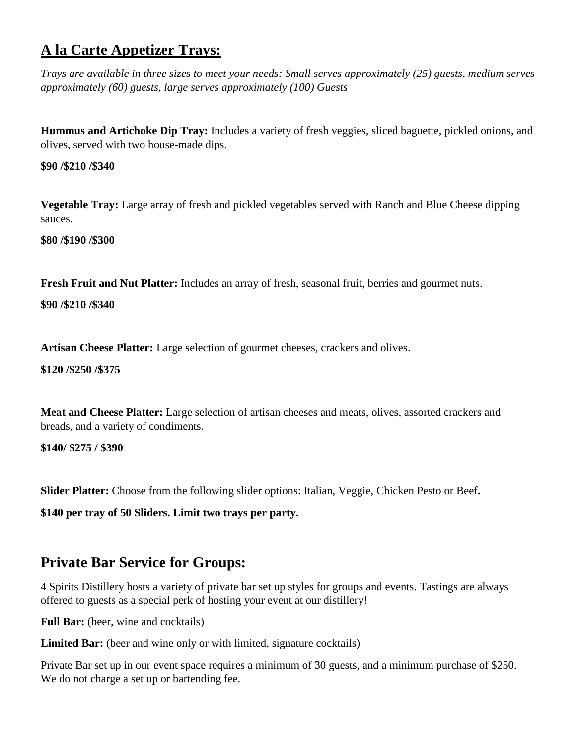# **A la Carte Appetizer Trays:**

*Trays are available in three sizes to meet your needs: Small serves approximately (25) guests, medium serves approximately (60) guests, large serves approximately (100) Guests* 

**Hummus and Artichoke Dip Tray:** Includes a variety of fresh veggies, sliced baguette, pickled onions, and olives, served with two house-made dips.

#### **\$90 /\$210 /\$340**

**Vegetable Tray:** Large array of fresh and pickled vegetables served with Ranch and Blue Cheese dipping sauces.

**\$80 /\$190 /\$300**

**Fresh Fruit and Nut Platter:** Includes an array of fresh, seasonal fruit, berries and gourmet nuts.

**\$90 /\$210 /\$340**

**Artisan Cheese Platter:** Large selection of gourmet cheeses, crackers and olives.

#### **\$120 /\$250 /\$375**

**Meat and Cheese Platter:** Large selection of artisan cheeses and meats, olives, assorted crackers and breads, and a variety of condiments.

**\$140/ \$275 / \$390**

**Slider Platter:** Choose from the following slider options: Italian, Veggie, Chicken Pesto or Beef**.** 

**\$140 per tray of 50 Sliders. Limit two trays per party.** 

## **Private Bar Service for Groups:**

4 Spirits Distillery hosts a variety of private bar set up styles for groups and events. Tastings are always offered to guests as a special perk of hosting your event at our distillery!

**Full Bar:** (beer, wine and cocktails)

**Limited Bar:** (beer and wine only or with limited, signature cocktails)

Private Bar set up in our event space requires a minimum of 30 guests, and a minimum purchase of \$250. We do not charge a set up or bartending fee.